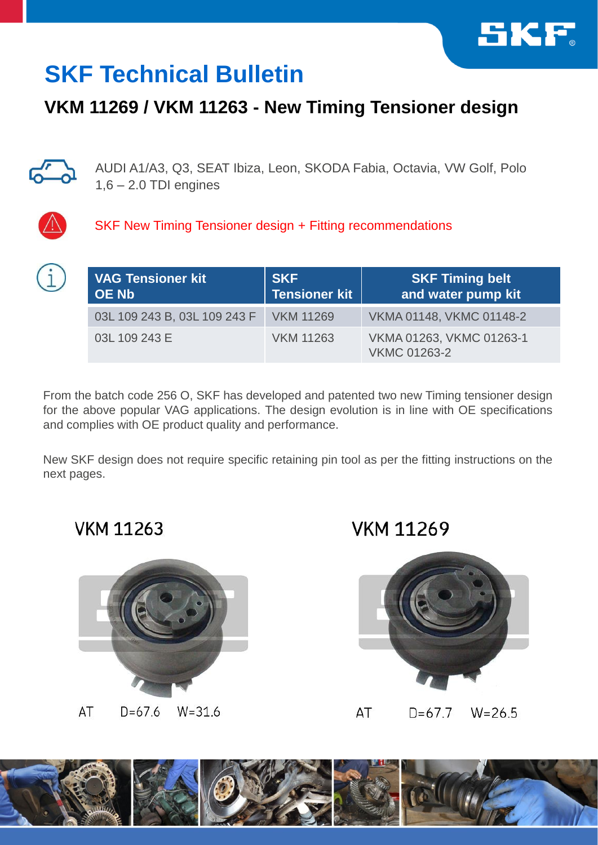

## **SKF Technical Bulletin**

## **VKM 11269 / VKM 11263 - New Timing Tensioner design**



AUDI A1/A3, Q3, SEAT Ibiza, Leon, SKODA Fabia, Octavia, VW Golf, Polo  $1,6 - 2.0$  TDI engines



SKF New Timing Tensioner design + Fitting recommendations

| <b>VAG Tensioner kit</b><br><b>OE Nb</b> | <b>SKF</b><br><b>Tensioner kit</b> | <b>SKF Timing belt</b><br>and water pump kit    |
|------------------------------------------|------------------------------------|-------------------------------------------------|
| 03L 109 243 B, 03L 109 243 F             | <b>VKM 11269</b>                   | VKMA 01148, VKMC 01148-2                        |
| 03L 109 243 E                            | <b>VKM 11263</b>                   | VKMA 01263, VKMC 01263-1<br><b>VKMC 01263-2</b> |

From the batch code 256 O, SKF has developed and patented two new Timing tensioner design for the above popular VAG applications. The design evolution is in line with OE specifications and complies with OE product quality and performance.

New SKF design does not require specific retaining pin tool as per the fitting instructions on the next pages.

**VKM 11263** 

**VKM 11269** 



AT  $D=67.6$  $W = 31.6$ 

AT  $D=67.7$  $W = 26.5$